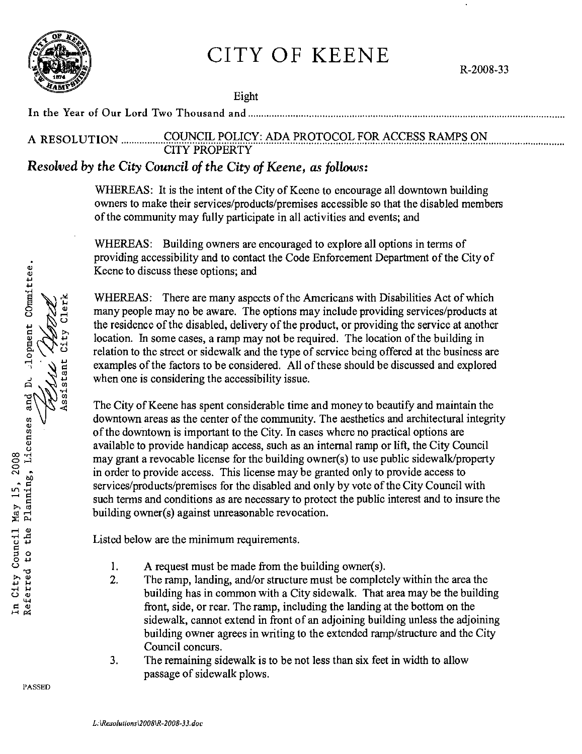

City Clerk

Assistant

## CITY OF KEENE

R-2008-33

Eight

In the Year of Our Lord Two Thousand and ....................................................................................................................... .

# A RESOLUTION ................. ~9~~.~.~9P.~.Y..: .. N.?~.!.'.~.Qr9.~9.~..F.9.~.~<;:<;:~.~~.~.~.9~ ............................ .. CITY PROPERTY

### *Resolved by the City Council of the City of Keene, as follows:*

WHEREAS: It is the intent of the City of Keene to encourage all downtown building owners to make their services/products/premises accessible so that the disabled members of the community may fully participate in all activities and events; and

WHEREAS: Building owners are encouraged to explore all options in terms of providing accessibility and to contact the Code Enforcement Department of the City of Keene to discuss these options; and

WHEREAS: There are many aspects of the Americans with Disabilities Act of which many people may no be aware. The options may include providing services/products at the residence of the disabled, delivery of the product, or providing the service at another location. In some cases, a ramp may not be required. The location of the building in relation to the street or sidewalk and the type of service being offered at the business are examples of the factors to be considered. All of these should be discussed and explored when one is considering the accessibility issue.

The City of Keene has spent considerable time and money to beautify and maintain the downtown areas as the center of the community. The aesthetics and architectural integrity of the downtown is important to the City. In cases where no practical options are available to provide handicap access, such as an internal ramp or lift, the City Council may grant a revocable license for the building owner(s) to use public sidewalk/property in order to provide access. This license may be granted only to provide access to services/products/premises for the disabled and only by vote of the City Council with such terms and conditions as are necessary to protect the public interest and to insure the building owner(s) against unreasonable revocation.

Listed below are the minimum requirements.

- 1. A request must be made from the building owner(s).
- 2. The ramp, landing, and/or structure must be completely within the area the building has in common with a City sidewalk. That area may be the building front, side, or rear. The ramp, including the landing at the bottom on the sidewalk, cannot extend in front of an adjoining building unless the adjoining building owner agrees in writing to the extended ramp/structure and the City Council concurs.
- 3. The remaining sidewalk is to be not less than six feet in width to allow passage of sidewalk plows.

Referred to the Planning, Licenses and Dt .1opment COmmittee. In City Council May 15, 2008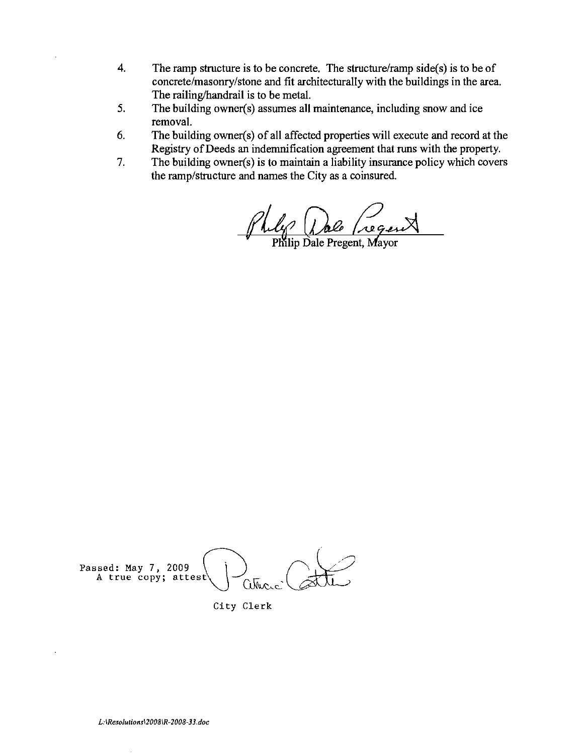- 4. The ramp structure is to be concrete. The structure/ramp side(s) is to be of concrete/masonry/stone and fit architecturally with the buildings in the area. The railing/handrail is to be metal.
- 5. The building owner(s) assumes all maintenance, including snow and ice removal.
- 6. The building owner(s) of all affected properties will execute and record at the Registry of Deeds an indemnification agreement that runs with the property.
- 7. The building owner(s) is to maintain a liability insurance policy which covers the ramp/structure and names the City as a coinsured.

1 1 de (regent)

Commerciale Passed: May 7, 2009  $\begin{pmatrix} \ \ \end{pmatrix}$   $\qquad \qquad$ A true copy; attest  $\sim$ 

City Clerk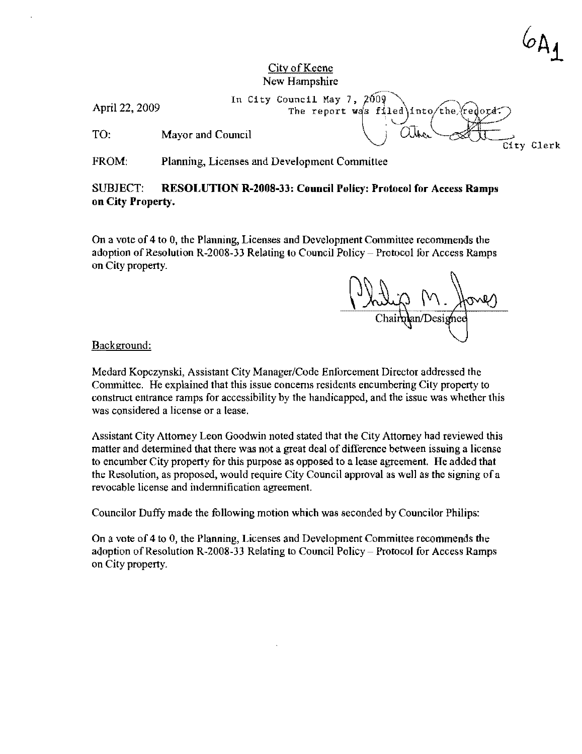City Clerk

#### City of Keene New Hampshire

April 22, 2009 In City Council May 7, 2009<br>The report was filed into the redord. April 22, 2009<br>The report was filed into the redord:<br>TO: Mayor and Council Maximum Council City Clerk

FROM: Planning, Licenses and Development Committee

#### SUBJECT: RESOLUTION R-2008-33: Council Polley: Protocol for Access Ramps on City Property.

On a vote of 4 to 0, the Planning, Licenses and Development Committee recommends the adoption of Resolution R-2008-33 Relating to Council Policy - Protocol for Access Ramps on City property.

m. Anney

Background:

Medard Kopczynski, Assistant City Manager/Code Enforcement Director addressed the Committee. He explained that this issue concems residents encumbering City property to construct entrance ramps for accessibility by the handicapped, and the issue was whether this was considered a license or a lease.

Assistant City Attomey Leon Goodwin noted stated that the City Attomey had reviewed this matter and determined that there was not a great deal of difference between issuing a license to encumber City property for this purpose as opposed to a lease agreement. He added that the Resolution, as proposed, would require City Council approval as well as the signing of a revocable license and indemnification agreement.

Councilor Duffy made the fullowing motion which was seconded by Councilor Philips:

On a vote of 4 to 0, the Planning, Licenses and Development Committee recommends the adoption of Resolution R-2008-33 Relating to Council Policy - Protocol for Access Ramps on City property.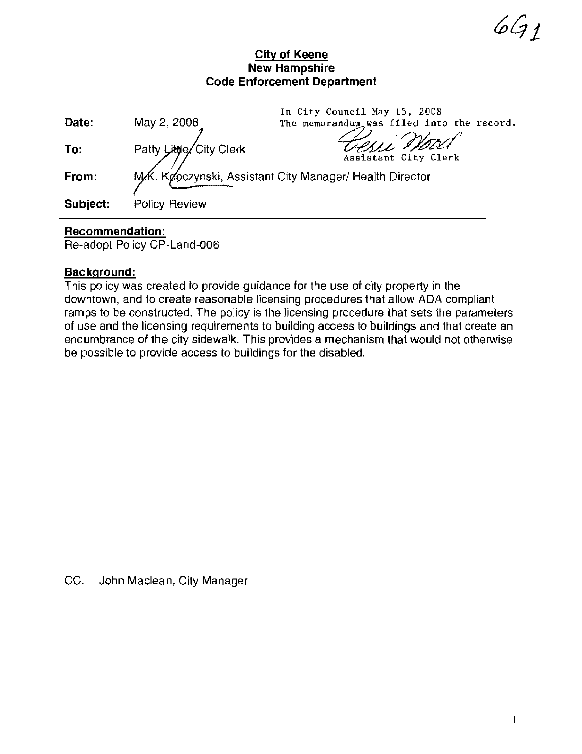**City of Keene New Hampshire Code Enforcement Department** 

|          |                                                         | In City Council May 15, 2008              |  |
|----------|---------------------------------------------------------|-------------------------------------------|--|
| Date:    | May 2, 2008                                             | The memorandum was filed into the record. |  |
| To:      | Patty Little City Clerk                                 | Telle Word                                |  |
| From:    | MK. Køpczynski, Assistant City Manager/ Health Director |                                           |  |
| Subject: | Policy Review                                           |                                           |  |

#### **Recommendation:**

Re-adopt Policy CP-Land-006

#### **Background:**

This policy was created to provide guidance for the use of city property in the downtown, and to create reasonable licensing procedures that allow ADA compliant ramps to be constructed. The policy is the licensing procedure that sets the parameters of use and the licensing requirements to building access to buildings and that create an encumbrance of the city sidewalk. This provides a mechanism that would not otherwise be possible to provide access to bUildings for the disabled.

CC. John Maclean, City Manager

 $661$